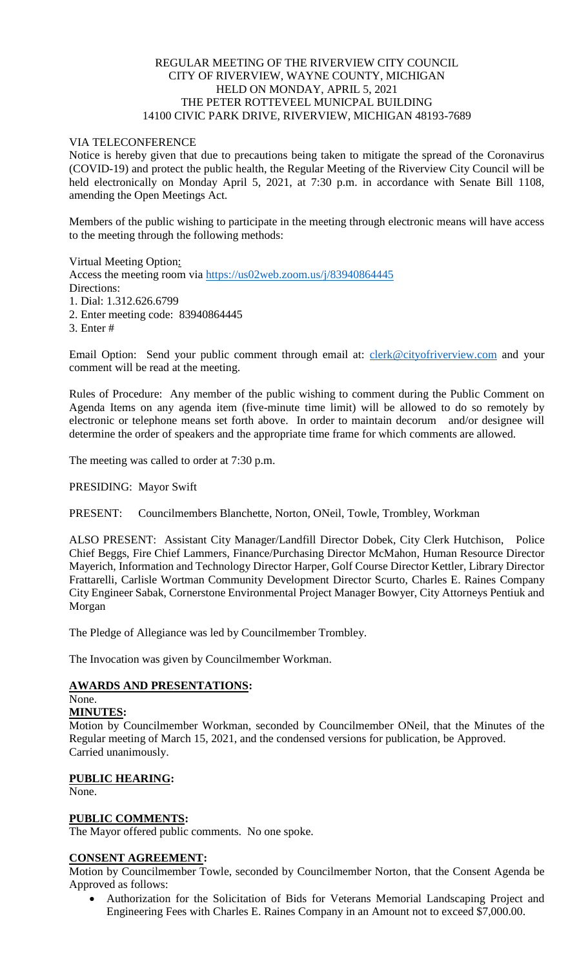## REGULAR MEETING OF THE RIVERVIEW CITY COUNCIL CITY OF RIVERVIEW, WAYNE COUNTY, MICHIGAN HELD ON MONDAY, APRIL 5, 2021 THE PETER ROTTEVEEL MUNICPAL BUILDING 14100 CIVIC PARK DRIVE, RIVERVIEW, MICHIGAN 48193-7689

## VIA TELECONFERENCE

Notice is hereby given that due to precautions being taken to mitigate the spread of the Coronavirus (COVID-19) and protect the public health, the Regular Meeting of the Riverview City Council will be held electronically on Monday April 5, 2021, at 7:30 p.m. in accordance with Senate Bill 1108, amending the Open Meetings Act.

Members of the public wishing to participate in the meeting through electronic means will have access to the meeting through the following methods:

Virtual Meeting Option: Access the meeting room via [https://us02web.zoom.us/j/83940864445](https://www.google.com/url?q=https%3A%2F%2Fus02web.zoom.us%2Fj%2F83940864445&sa=D&ust=1617724251708000&usg=AOvVaw22sK_7b9UlRZoogAPDl8Lc) Directions: 1. Dial: 1.312.626.6799

2. Enter meeting code: 83940864445

3. Enter #

Email Option: Send your public comment through email at: [clerk@cityofriverview.com](mailto:clerk@cityofriverview.com) and your comment will be read at the meeting.

Rules of Procedure: Any member of the public wishing to comment during the Public Comment on Agenda Items on any agenda item (five-minute time limit) will be allowed to do so remotely by electronic or telephone means set forth above. In order to maintain decorum and/or designee will determine the order of speakers and the appropriate time frame for which comments are allowed.

The meeting was called to order at 7:30 p.m.

PRESIDING: Mayor Swift

PRESENT: Councilmembers Blanchette, Norton, ONeil, Towle, Trombley, Workman

ALSO PRESENT: Assistant City Manager/Landfill Director Dobek, City Clerk Hutchison, Police Chief Beggs, Fire Chief Lammers, Finance/Purchasing Director McMahon, Human Resource Director Mayerich, Information and Technology Director Harper, Golf Course Director Kettler, Library Director Frattarelli, Carlisle Wortman Community Development Director Scurto, Charles E. Raines Company City Engineer Sabak, Cornerstone Environmental Project Manager Bowyer, City Attorneys Pentiuk and Morgan

The Pledge of Allegiance was led by Councilmember Trombley.

The Invocation was given by Councilmember Workman.

## **AWARDS AND PRESENTATIONS:**

None.

#### **MINUTES:**

Motion by Councilmember Workman, seconded by Councilmember ONeil, that the Minutes of the Regular meeting of March 15, 2021, and the condensed versions for publication, be Approved. Carried unanimously.

#### **PUBLIC HEARING:**

None.

#### **PUBLIC COMMENTS:**

The Mayor offered public comments. No one spoke.

#### **CONSENT AGREEMENT:**

Motion by Councilmember Towle, seconded by Councilmember Norton, that the Consent Agenda be Approved as follows:

 Authorization for the Solicitation of Bids for Veterans Memorial Landscaping Project and Engineering Fees with Charles E. Raines Company in an Amount not to exceed \$7,000.00.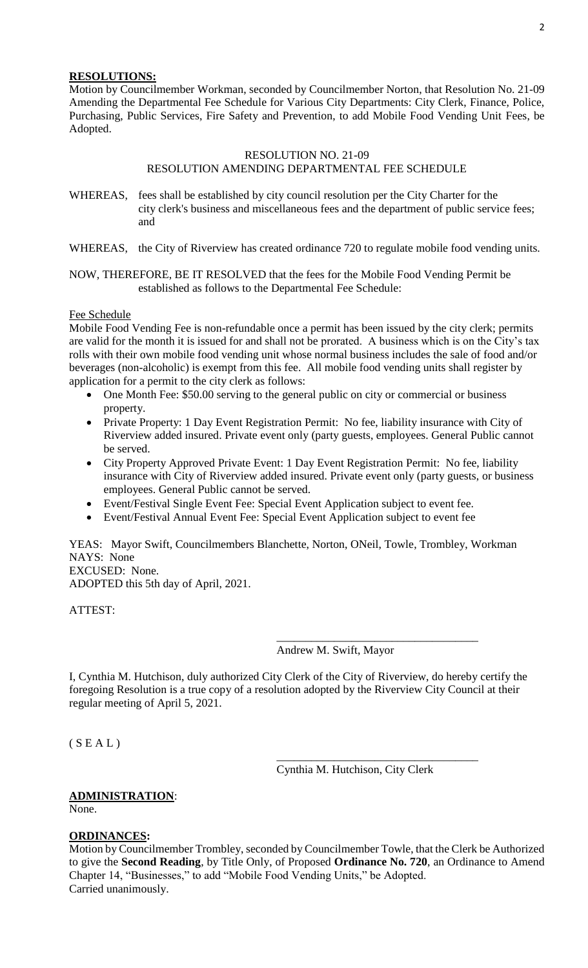## **RESOLUTIONS:**

Motion by Councilmember Workman, seconded by Councilmember Norton, that Resolution No. 21-09 Amending the Departmental Fee Schedule for Various City Departments: City Clerk, Finance, Police, Purchasing, Public Services, Fire Safety and Prevention, to add Mobile Food Vending Unit Fees, be Adopted.

#### RESOLUTION NO. 21-09

#### RESOLUTION AMENDING DEPARTMENTAL FEE SCHEDULE

WHEREAS, fees shall be established by city council resolution per the City Charter for the city clerk's business and miscellaneous fees and the department of public service fees; and

WHEREAS, the City of Riverview has created ordinance 720 to regulate mobile food vending units.

## NOW, THEREFORE, BE IT RESOLVED that the fees for the Mobile Food Vending Permit be established as follows to the Departmental Fee Schedule:

#### Fee Schedule

Mobile Food Vending Fee is non-refundable once a permit has been issued by the city clerk; permits are valid for the month it is issued for and shall not be prorated. A business which is on the City's tax rolls with their own mobile food vending unit whose normal business includes the sale of food and/or beverages (non-alcoholic) is exempt from this fee. All mobile food vending units shall register by application for a permit to the city clerk as follows:

- One Month Fee: \$50.00 serving to the general public on city or commercial or business property.
- Private Property: 1 Day Event Registration Permit: No fee, liability insurance with City of Riverview added insured. Private event only (party guests, employees. General Public cannot be served.
- City Property Approved Private Event: 1 Day Event Registration Permit: No fee, liability insurance with City of Riverview added insured. Private event only (party guests, or business employees. General Public cannot be served.
- Event/Festival Single Event Fee: Special Event Application subject to event fee.
- Event/Festival Annual Event Fee: Special Event Application subject to event fee

YEAS: Mayor Swift, Councilmembers Blanchette, Norton, ONeil, Towle, Trombley, Workman NAYS: None EXCUSED: None.

ADOPTED this 5th day of April, 2021.

ATTEST:

Andrew M. Swift, Mayor

\_\_\_\_\_\_\_\_\_\_\_\_\_\_\_\_\_\_\_\_\_\_\_\_\_\_\_\_\_\_\_\_\_\_\_

\_\_\_\_\_\_\_\_\_\_\_\_\_\_\_\_\_\_\_\_\_\_\_\_\_\_\_\_\_\_\_\_\_\_\_

I, Cynthia M. Hutchison, duly authorized City Clerk of the City of Riverview, do hereby certify the foregoing Resolution is a true copy of a resolution adopted by the Riverview City Council at their regular meeting of April 5, 2021.

 $(S E A L)$ 

Cynthia M. Hutchison, City Clerk

# **ADMINISTRATION**:

None.

## **ORDINANCES:**

Motion by Councilmember Trombley, seconded by Councilmember Towle, that the Clerk be Authorized to give the **Second Reading**, by Title Only, of Proposed **Ordinance No. 720**, an Ordinance to Amend Chapter 14, "Businesses," to add "Mobile Food Vending Units," be Adopted. Carried unanimously.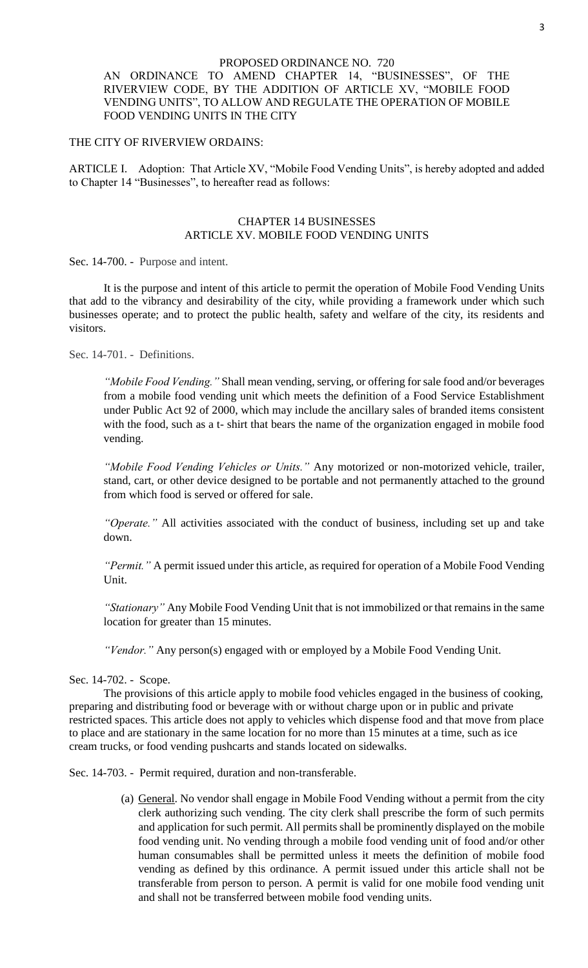#### PROPOSED ORDINANCE NO. 720

## AN ORDINANCE TO AMEND CHAPTER 14, "BUSINESSES", OF THE RIVERVIEW CODE, BY THE ADDITION OF ARTICLE XV, "MOBILE FOOD VENDING UNITS", TO ALLOW AND REGULATE THE OPERATION OF MOBILE FOOD VENDING UNITS IN THE CITY

#### THE CITY OF RIVERVIEW ORDAINS:

ARTICLE I. Adoption: That Article XV, "Mobile Food Vending Units", is hereby adopted and added to Chapter 14 "Businesses", to hereafter read as follows:

## CHAPTER 14 BUSINESSES ARTICLE XV. MOBILE FOOD VENDING UNITS

Sec. 14-700. - Purpose and intent.

It is the purpose and intent of this article to permit the operation of Mobile Food Vending Units that add to the vibrancy and desirability of the city, while providing a framework under which such businesses operate; and to protect the public health, safety and welfare of the city, its residents and visitors.

Sec. 14-701. - Definitions.

*"Mobile Food Vending."* Shall mean vending, serving, or offering for sale food and/or beverages from a mobile food vending unit which meets the definition of a Food Service Establishment under Public Act 92 of 2000, which may include the ancillary sales of branded items consistent with the food, such as a t- shirt that bears the name of the organization engaged in mobile food vending.

*"Mobile Food Vending Vehicles or Units."* Any motorized or non-motorized vehicle, trailer, stand, cart, or other device designed to be portable and not permanently attached to the ground from which food is served or offered for sale.

*"Operate."* All activities associated with the conduct of business, including set up and take down.

*"Permit."* A permit issued under this article, as required for operation of a Mobile Food Vending Unit.

*"Stationary"* Any Mobile Food Vending Unit that is not immobilized or that remains in the same location for greater than 15 minutes.

*"Vendor."* Any person(s) engaged with or employed by a Mobile Food Vending Unit.

#### Sec. 14-702. - Scope.

The provisions of this article apply to mobile food vehicles engaged in the business of cooking, preparing and distributing food or beverage with or without charge upon or in public and private restricted spaces. This article does not apply to vehicles which dispense food and that move from place to place and are stationary in the same location for no more than 15 minutes at a time, such as ice cream trucks, or food vending pushcarts and stands located on sidewalks.

Sec. 14-703. - Permit required, duration and non-transferable.

(a) General. No vendor shall engage in Mobile Food Vending without a permit from the city clerk authorizing such vending. The city clerk shall prescribe the form of such permits and application for such permit. All permits shall be prominently displayed on the mobile food vending unit. No vending through a mobile food vending unit of food and/or other human consumables shall be permitted unless it meets the definition of mobile food vending as defined by this ordinance. A permit issued under this article shall not be transferable from person to person. A permit is valid for one mobile food vending unit and shall not be transferred between mobile food vending units.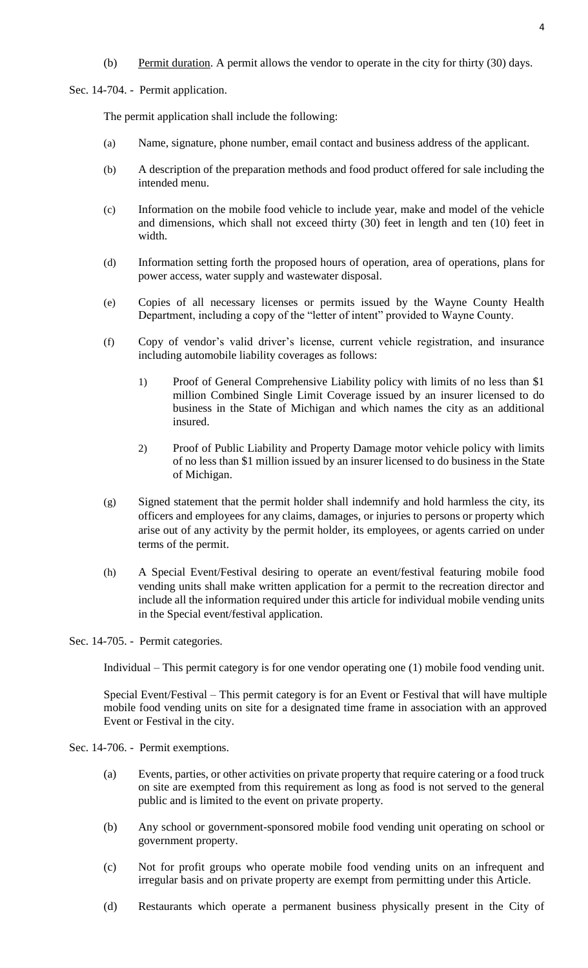(b) Permit duration. A permit allows the vendor to operate in the city for thirty (30) days.

Sec. 14-704. - Permit application.

The permit application shall include the following:

- (a) Name, signature, phone number, email contact and business address of the applicant.
- (b) A description of the preparation methods and food product offered for sale including the intended menu.
- (c) Information on the mobile food vehicle to include year, make and model of the vehicle and dimensions, which shall not exceed thirty (30) feet in length and ten (10) feet in width.
- (d) Information setting forth the proposed hours of operation, area of operations, plans for power access, water supply and wastewater disposal.
- (e) Copies of all necessary licenses or permits issued by the Wayne County Health Department, including a copy of the "letter of intent" provided to Wayne County.
- (f) Copy of vendor's valid driver's license, current vehicle registration, and insurance including automobile liability coverages as follows:
	- 1) Proof of General Comprehensive Liability policy with limits of no less than \$1 million Combined Single Limit Coverage issued by an insurer licensed to do business in the State of Michigan and which names the city as an additional insured.
	- 2) Proof of Public Liability and Property Damage motor vehicle policy with limits of no less than \$1 million issued by an insurer licensed to do business in the State of Michigan.
- (g) Signed statement that the permit holder shall indemnify and hold harmless the city, its officers and employees for any claims, damages, or injuries to persons or property which arise out of any activity by the permit holder, its employees, or agents carried on under terms of the permit.
- (h) A Special Event/Festival desiring to operate an event/festival featuring mobile food vending units shall make written application for a permit to the recreation director and include all the information required under this article for individual mobile vending units in the Special event/festival application.

Sec. 14-705. - Permit categories.

Individual – This permit category is for one vendor operating one (1) mobile food vending unit.

Special Event/Festival – This permit category is for an Event or Festival that will have multiple mobile food vending units on site for a designated time frame in association with an approved Event or Festival in the city.

- Sec. 14-706. Permit exemptions.
	- (a) Events, parties, or other activities on private property that require catering or a food truck on site are exempted from this requirement as long as food is not served to the general public and is limited to the event on private property.
	- (b) Any school or government-sponsored mobile food vending unit operating on school or government property.
	- (c) Not for profit groups who operate mobile food vending units on an infrequent and irregular basis and on private property are exempt from permitting under this Article.
	- (d) Restaurants which operate a permanent business physically present in the City of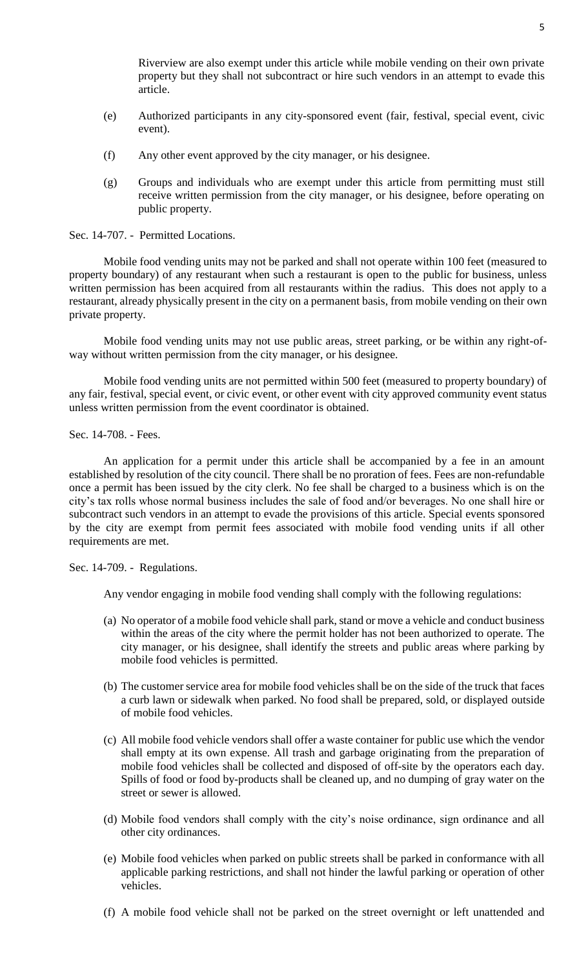Riverview are also exempt under this article while mobile vending on their own private property but they shall not subcontract or hire such vendors in an attempt to evade this article.

- (e) Authorized participants in any city-sponsored event (fair, festival, special event, civic event).
- (f) Any other event approved by the city manager, or his designee.
- (g) Groups and individuals who are exempt under this article from permitting must still receive written permission from the city manager, or his designee, before operating on public property.

#### Sec. 14-707. - Permitted Locations.

Mobile food vending units may not be parked and shall not operate within 100 feet (measured to property boundary) of any restaurant when such a restaurant is open to the public for business, unless written permission has been acquired from all restaurants within the radius. This does not apply to a restaurant, already physically present in the city on a permanent basis, from mobile vending on their own private property.

Mobile food vending units may not use public areas, street parking, or be within any right-ofway without written permission from the city manager, or his designee.

Mobile food vending units are not permitted within 500 feet (measured to property boundary) of any fair, festival, special event, or civic event, or other event with city approved community event status unless written permission from the event coordinator is obtained.

#### Sec. 14-708. - Fees.

An application for a permit under this article shall be accompanied by a fee in an amount established by resolution of the city council. There shall be no proration of fees. Fees are non-refundable once a permit has been issued by the city clerk. No fee shall be charged to a business which is on the city's tax rolls whose normal business includes the sale of food and/or beverages. No one shall hire or subcontract such vendors in an attempt to evade the provisions of this article. Special events sponsored by the city are exempt from permit fees associated with mobile food vending units if all other requirements are met.

#### Sec. 14-709. - Regulations.

Any vendor engaging in mobile food vending shall comply with the following regulations:

- (a) No operator of a mobile food vehicle shall park, stand or move a vehicle and conduct business within the areas of the city where the permit holder has not been authorized to operate. The city manager, or his designee, shall identify the streets and public areas where parking by mobile food vehicles is permitted.
- (b) The customer service area for mobile food vehicles shall be on the side of the truck that faces a curb lawn or sidewalk when parked. No food shall be prepared, sold, or displayed outside of mobile food vehicles.
- (c) All mobile food vehicle vendors shall offer a waste container for public use which the vendor shall empty at its own expense. All trash and garbage originating from the preparation of mobile food vehicles shall be collected and disposed of off-site by the operators each day. Spills of food or food by-products shall be cleaned up, and no dumping of gray water on the street or sewer is allowed.
- (d) Mobile food vendors shall comply with the city's noise ordinance, sign ordinance and all other city ordinances.
- (e) Mobile food vehicles when parked on public streets shall be parked in conformance with all applicable parking restrictions, and shall not hinder the lawful parking or operation of other vehicles.
- (f) A mobile food vehicle shall not be parked on the street overnight or left unattended and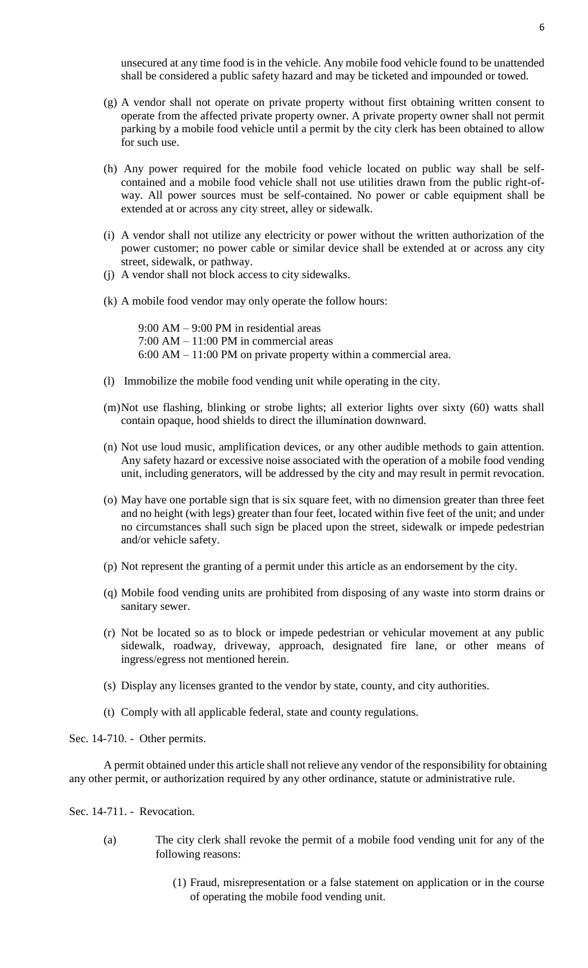unsecured at any time food is in the vehicle. Any mobile food vehicle found to be unattended shall be considered a public safety hazard and may be ticketed and impounded or towed.

- (g) A vendor shall not operate on private property without first obtaining written consent to operate from the affected private property owner. A private property owner shall not permit parking by a mobile food vehicle until a permit by the city clerk has been obtained to allow for such use.
- (h) Any power required for the mobile food vehicle located on public way shall be selfcontained and a mobile food vehicle shall not use utilities drawn from the public right-ofway. All power sources must be self-contained. No power or cable equipment shall be extended at or across any city street, alley or sidewalk.
- (i) A vendor shall not utilize any electricity or power without the written authorization of the power customer; no power cable or similar device shall be extended at or across any city street, sidewalk, or pathway.
- (j) A vendor shall not block access to city sidewalks.
- (k) A mobile food vendor may only operate the follow hours:

9:00 AM – 9:00 PM in residential areas 7:00 AM – 11:00 PM in commercial areas 6:00 AM – 11:00 PM on private property within a commercial area.

- (l) Immobilize the mobile food vending unit while operating in the city.
- (m)Not use flashing, blinking or strobe lights; all exterior lights over sixty (60) watts shall contain opaque, hood shields to direct the illumination downward.
- (n) Not use loud music, amplification devices, or any other audible methods to gain attention. Any safety hazard or excessive noise associated with the operation of a mobile food vending unit, including generators, will be addressed by the city and may result in permit revocation.
- (o) May have one portable sign that is six square feet, with no dimension greater than three feet and no height (with legs) greater than four feet, located within five feet of the unit; and under no circumstances shall such sign be placed upon the street, sidewalk or impede pedestrian and/or vehicle safety.
- (p) Not represent the granting of a permit under this article as an endorsement by the city.
- (q) Mobile food vending units are prohibited from disposing of any waste into storm drains or sanitary sewer.
- (r) Not be located so as to block or impede pedestrian or vehicular movement at any public sidewalk, roadway, driveway, approach, designated fire lane, or other means of ingress/egress not mentioned herein.
- (s) Display any licenses granted to the vendor by state, county, and city authorities.
- (t) Comply with all applicable federal, state and county regulations.

Sec. 14-710. - Other permits.

A permit obtained under this article shall not relieve any vendor of the responsibility for obtaining any other permit, or authorization required by any other ordinance, statute or administrative rule.

Sec. 14-711. - Revocation.

- (a) The city clerk shall revoke the permit of a mobile food vending unit for any of the following reasons:
	- (1) Fraud, misrepresentation or a false statement on application or in the course of operating the mobile food vending unit.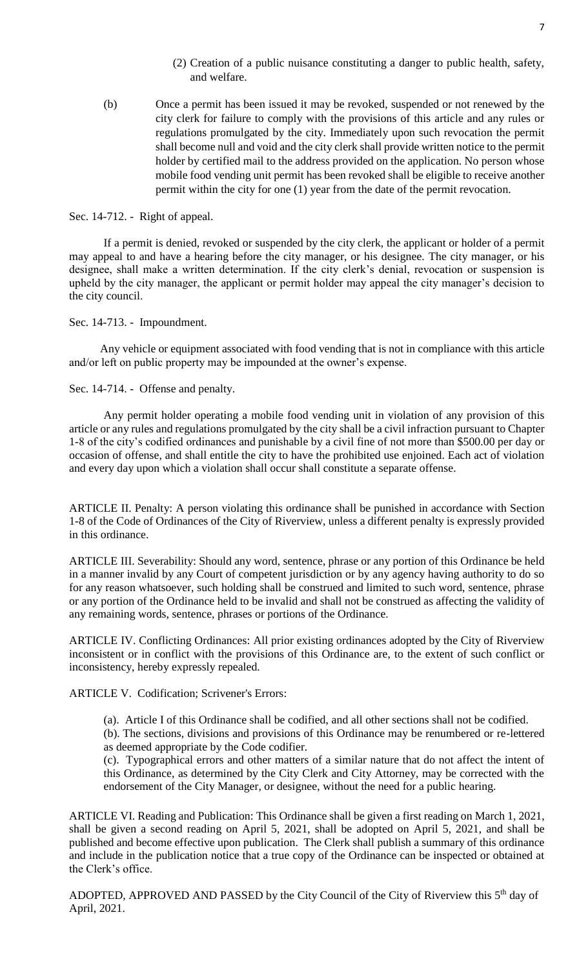- (2) Creation of a public nuisance constituting a danger to public health, safety, and welfare.
- (b) Once a permit has been issued it may be revoked, suspended or not renewed by the city clerk for failure to comply with the provisions of this article and any rules or regulations promulgated by the city. Immediately upon such revocation the permit shall become null and void and the city clerk shall provide written notice to the permit holder by certified mail to the address provided on the application. No person whose mobile food vending unit permit has been revoked shall be eligible to receive another permit within the city for one (1) year from the date of the permit revocation.

#### Sec. 14-712. - Right of appeal.

If a permit is denied, revoked or suspended by the city clerk, the applicant or holder of a permit may appeal to and have a hearing before the city manager, or his designee. The city manager, or his designee, shall make a written determination. If the city clerk's denial, revocation or suspension is upheld by the city manager, the applicant or permit holder may appeal the city manager's decision to the city council.

Sec. 14-713. - Impoundment.

Any vehicle or equipment associated with food vending that is not in compliance with this article and/or left on public property may be impounded at the owner's expense.

Sec. 14-714. - Offense and penalty.

Any permit holder operating a mobile food vending unit in violation of any provision of this article or any rules and regulations promulgated by the city shall be a civil infraction pursuant to Chapter 1-8 of the city's codified ordinances and punishable by a civil fine of not more than \$500.00 per day or occasion of offense, and shall entitle the city to have the prohibited use enjoined. Each act of violation and every day upon which a violation shall occur shall constitute a separate offense.

ARTICLE II. Penalty: A person violating this ordinance shall be punished in accordance with Section 1-8 of the Code of Ordinances of the City of Riverview, unless a different penalty is expressly provided in this ordinance.

ARTICLE III. Severability: Should any word, sentence, phrase or any portion of this Ordinance be held in a manner invalid by any Court of competent jurisdiction or by any agency having authority to do so for any reason whatsoever, such holding shall be construed and limited to such word, sentence, phrase or any portion of the Ordinance held to be invalid and shall not be construed as affecting the validity of any remaining words, sentence, phrases or portions of the Ordinance.

ARTICLE IV. Conflicting Ordinances: All prior existing ordinances adopted by the City of Riverview inconsistent or in conflict with the provisions of this Ordinance are, to the extent of such conflict or inconsistency, hereby expressly repealed.

ARTICLE V. Codification; Scrivener's Errors:

(a). Article I of this Ordinance shall be codified, and all other sections shall not be codified.

(b). The sections, divisions and provisions of this Ordinance may be renumbered or re-lettered as deemed appropriate by the Code codifier.

(c). Typographical errors and other matters of a similar nature that do not affect the intent of this Ordinance, as determined by the City Clerk and City Attorney, may be corrected with the endorsement of the City Manager, or designee, without the need for a public hearing.

ARTICLE VI. Reading and Publication: This Ordinance shall be given a first reading on March 1, 2021, shall be given a second reading on April 5, 2021, shall be adopted on April 5, 2021, and shall be published and become effective upon publication. The Clerk shall publish a summary of this ordinance and include in the publication notice that a true copy of the Ordinance can be inspected or obtained at the Clerk's office.

ADOPTED, APPROVED AND PASSED by the City Council of the City of Riverview this  $5<sup>th</sup>$  day of April, 2021.